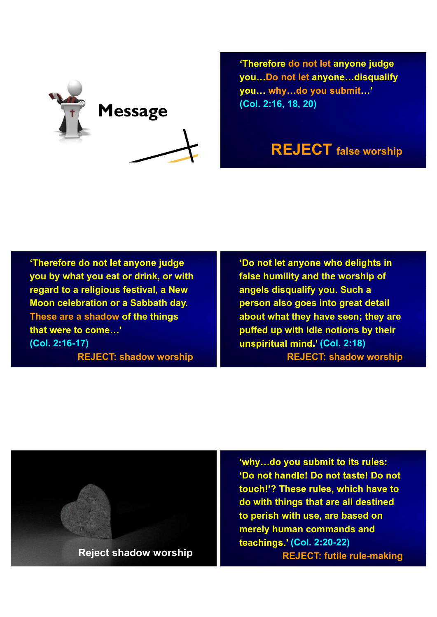

'Therefore do not let anyone judge you...Do not let anyone...disqualify you... why...do you submit...' (Col. 2:16, 18, 20)

## REJECT false worship

'Therefore do not let anyone judge you by what you eat or drink, or with regard to a religious festival, a New Moon celebration or a Sabbath day. These are a shadow of the things that were to come...' (Col. 2:16-17) REJECT: shadow worship

'Do not let anyone who delights in false humility and the worship of angels disqualify you. Such a person also goes into great detail about what they have seen; they are puffed up with idle notions by their unspiritual mind.<sup>7</sup> (Col. 2:18) REJECT: shadow worship



'why...do you submit to its rules: 'Do not handle! Do not taste! Do not touch!'? These rules, which have to do with things that are all destined to perish with use, are based on merely human commands and teachings.' (Col. 2:20-22) REJECT: futile rule-making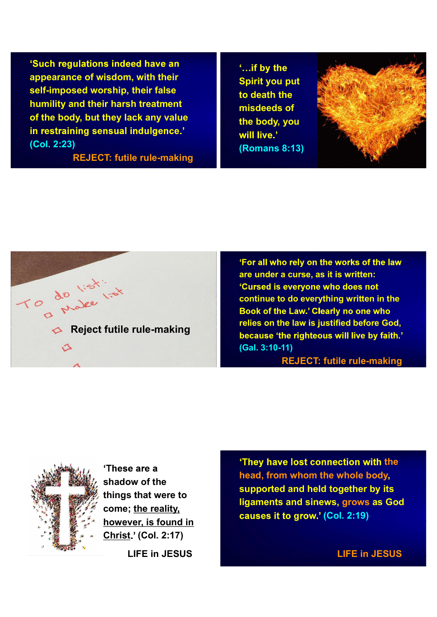'Such regulations indeed have an appearance of wisdom, with their self-imposed worship, their false humility and their harsh treatment of the body, but they lack any value in restraining sensual indulgence.' (Col. 2:23)

REJECT: futile rule-making

'...if by the Spirit you put to death the misdeeds of the body, you will live.' (Romans 8:13)





'For all who rely on the works of the law are under a curse, as it is written: 'Cursed is everyone who does not continue to do everything written in the Book of the Law.' Clearly no one who relies on the law is justified before God, (Gal. 3:10-11)

REJECT: futile rule-making



'These are a shadow of the things that were to come; the reality, however, is found in Christ (Col. 2:17) LIFE in JESUS

'They have lost connection with the head, from whom the whole body, supported and held together by its ligaments and sinews, grows as God causes it to grow.' (Col. 2:19)

LIFE in JESUS